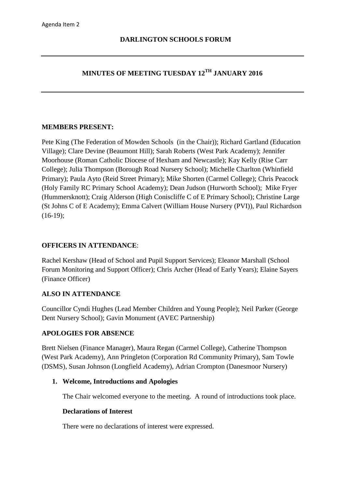# **MINUTES OF MEETING TUESDAY 12TH JANUARY 2016**

### **MEMBERS PRESENT:**

Pete King (The Federation of Mowden Schools (in the Chair)); Richard Gartland (Education Village); Clare Devine (Beaumont Hill); Sarah Roberts (West Park Academy); Jennifer Moorhouse (Roman Catholic Diocese of Hexham and Newcastle); Kay Kelly (Rise Carr College); Julia Thompson (Borough Road Nursery School); Michelle Charlton (Whinfield Primary); Paula Ayto (Reid Street Primary); Mike Shorten (Carmel College); Chris Peacock (Holy Family RC Primary School Academy); Dean Judson (Hurworth School); Mike Fryer (Hummersknott); Craig Alderson (High Coniscliffe C of E Primary School); Christine Large (St Johns C of E Academy); Emma Calvert (William House Nursery (PVI)), Paul Richardson (16-19);

# **OFFICERS IN ATTENDANCE**:

Rachel Kershaw (Head of School and Pupil Support Services); Eleanor Marshall (School Forum Monitoring and Support Officer); Chris Archer (Head of Early Years); Elaine Sayers (Finance Officer)

### **ALSO IN ATTENDANCE**

Councillor Cyndi Hughes (Lead Member Children and Young People); Neil Parker (George Dent Nursery School); Gavin Monument (AVEC Partnership)

### **APOLOGIES FOR ABSENCE**

Brett Nielsen (Finance Manager), Maura Regan (Carmel College), Catherine Thompson (West Park Academy), Ann Pringleton (Corporation Rd Community Primary), Sam Towle (DSMS), Susan Johnson (Longfield Academy), Adrian Crompton (Danesmoor Nursery)

### **1. Welcome, Introductions and Apologies**

The Chair welcomed everyone to the meeting. A round of introductions took place.

### **Declarations of Interest**

There were no declarations of interest were expressed.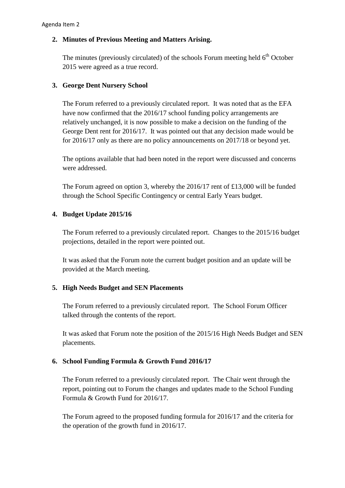# **2. Minutes of Previous Meeting and Matters Arising.**

The minutes (previously circulated) of the schools Forum meeting held  $6<sup>th</sup>$  October 2015 were agreed as a true record.

### **3. George Dent Nursery School**

The Forum referred to a previously circulated report. It was noted that as the EFA have now confirmed that the 2016/17 school funding policy arrangements are relatively unchanged, it is now possible to make a decision on the funding of the George Dent rent for 2016/17. It was pointed out that any decision made would be for 2016/17 only as there are no policy announcements on 2017/18 or beyond yet.

The options available that had been noted in the report were discussed and concerns were addressed.

The Forum agreed on option 3, whereby the 2016/17 rent of £13,000 will be funded through the School Specific Contingency or central Early Years budget.

# **4. Budget Update 2015/16**

The Forum referred to a previously circulated report. Changes to the 2015/16 budget projections, detailed in the report were pointed out.

It was asked that the Forum note the current budget position and an update will be provided at the March meeting.

# **5. High Needs Budget and SEN Placements**

The Forum referred to a previously circulated report. The School Forum Officer talked through the contents of the report.

It was asked that Forum note the position of the 2015/16 High Needs Budget and SEN placements.

# **6. School Funding Formula & Growth Fund 2016/17**

The Forum referred to a previously circulated report. The Chair went through the report, pointing out to Forum the changes and updates made to the School Funding Formula & Growth Fund for 2016/17.

The Forum agreed to the proposed funding formula for 2016/17 and the criteria for the operation of the growth fund in 2016/17.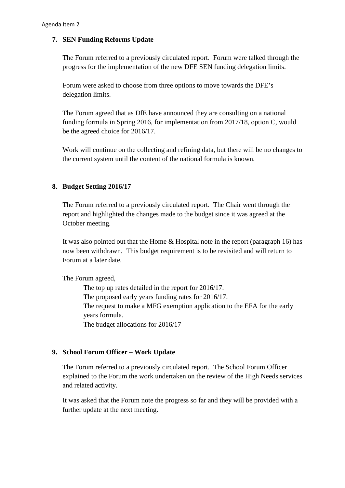# **7. SEN Funding Reforms Update**

The Forum referred to a previously circulated report. Forum were talked through the progress for the implementation of the new DFE SEN funding delegation limits.

Forum were asked to choose from three options to move towards the DFE's delegation limits.

The Forum agreed that as DfE have announced they are consulting on a national funding formula in Spring 2016, for implementation from 2017/18, option C, would be the agreed choice for 2016/17.

Work will continue on the collecting and refining data, but there will be no changes to the current system until the content of the national formula is known.

# **8. Budget Setting 2016/17**

The Forum referred to a previously circulated report. The Chair went through the report and highlighted the changes made to the budget since it was agreed at the October meeting.

It was also pointed out that the Home & Hospital note in the report (paragraph 16) has now been withdrawn. This budget requirement is to be revisited and will return to Forum at a later date.

The Forum agreed,

The top up rates detailed in the report for 2016/17. The proposed early years funding rates for 2016/17. The request to make a MFG exemption application to the EFA for the early years formula. The budget allocations for 2016/17

### **9. School Forum Officer – Work Update**

The Forum referred to a previously circulated report. The School Forum Officer explained to the Forum the work undertaken on the review of the High Needs services and related activity.

It was asked that the Forum note the progress so far and they will be provided with a further update at the next meeting.